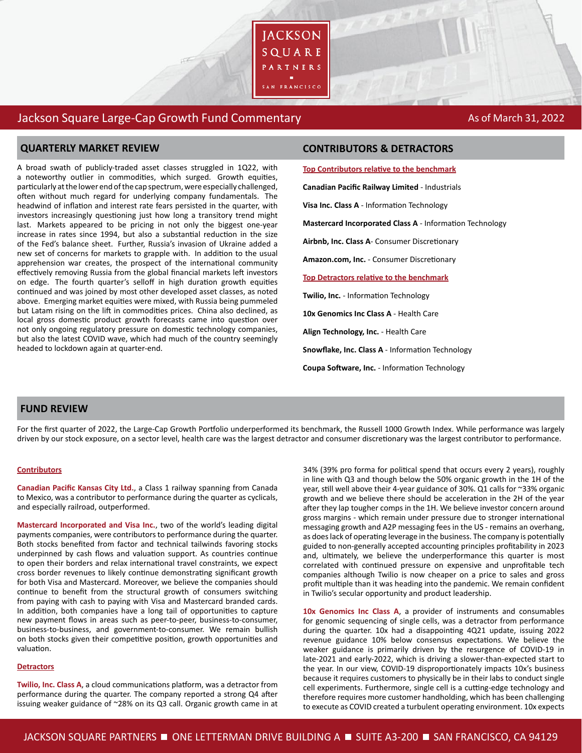

# Jackson Square Large-Cap Growth Fund Commentary As of March 31, 2022

## **QUARTERLY MARKET REVIEW**

A broad swath of publicly-traded asset classes struggled in 1Q22, with a noteworthy outlier in commodities, which surged. Growth equities, particularly at the lower end of the cap spectrum, were especially challenged, often without much regard for underlying company fundamentals. The headwind of inflation and interest rate fears persisted in the quarter, with investors increasingly questioning just how long a transitory trend might last. Markets appeared to be pricing in not only the biggest one-year increase in rates since 1994, but also a substantial reduction in the size of the Fed's balance sheet. Further, Russia's invasion of Ukraine added a new set of concerns for markets to grapple with. In addition to the usual apprehension war creates, the prospect of the international community effectively removing Russia from the global financial markets left investors on edge. The fourth quarter's selloff in high duration growth equities continued and was joined by most other developed asset classes, as noted above. Emerging market equities were mixed, with Russia being pummeled but Latam rising on the lift in commodities prices. China also declined, as local gross domestic product growth forecasts came into question over not only ongoing regulatory pressure on domestic technology companies, but also the latest COVID wave, which had much of the country seemingly headed to lockdown again at quarter-end.

## **CONTRIBUTORS & DETRACTORS**

**Top Contributors relative to the benchmark Canadian Pacific Railway Limited** - Industrials **Visa Inc. Class A** - Information Technology **Mastercard Incorporated Class A** - Information Technology **Airbnb, Inc. Class A**- Consumer Discretionary **Amazon.com, Inc.** - Consumer Discretionary **Top Detractors relative to the benchmark Twilio, Inc.** - Information Technology **10x Genomics Inc Class A** - Health Care **Align Technology, Inc.** - Health Care **Snowflake, Inc. Class A** - Information Technology **Coupa Software, Inc.** - Information Technology

## **FUND REVIEW**

For the first quarter of 2022, the Large-Cap Growth Portfolio underperformed its benchmark, the Russell 1000 Growth Index. While performance was largely driven by our stock exposure, on a sector level, health care was the largest detractor and consumer discretionary was the largest contributor to performance.

## **Contributors**

**Canadian Pacific Kansas City Ltd.**, a Class 1 railway spanning from Canada to Mexico, was a contributor to performance during the quarter as cyclicals, and especially railroad, outperformed.

**Mastercard Incorporated and Visa Inc.**, two of the world's leading digital payments companies, were contributors to performance during the quarter. Both stocks benefited from factor and technical tailwinds favoring stocks underpinned by cash flows and valuation support. As countries continue to open their borders and relax international travel constraints, we expect cross border revenues to likely continue demonstrating significant growth for both Visa and Mastercard. Moreover, we believe the companies should continue to benefit from the structural growth of consumers switching from paying with cash to paying with Visa and Mastercard branded cards. In addition, both companies have a long tail of opportunities to capture new payment flows in areas such as peer-to-peer, business-to-consumer, business-to-business, and government-to-consumer. We remain bullish on both stocks given their competitive position, growth opportunities and valuation.

#### **Detractors**

**Twilio, Inc. Class A**, a cloud communications platform, was a detractor from performance during the quarter. The company reported a strong Q4 after issuing weaker guidance of ~28% on its Q3 call. Organic growth came in at 34% (39% pro forma for political spend that occurs every 2 years), roughly in line with Q3 and though below the 50% organic growth in the 1H of the year, still well above their 4-year guidance of 30%. Q1 calls for ~33% organic growth and we believe there should be acceleration in the 2H of the year after they lap tougher comps in the 1H. We believe investor concern around gross margins - which remain under pressure due to stronger international messaging growth and A2P messaging fees in the US - remains an overhang, as does lack of operating leverage in the business. The company is potentially guided to non-generally accepted accounting principles profitability in 2023 and, ultimately, we believe the underperformance this quarter is most correlated with continued pressure on expensive and unprofitable tech companies although Twilio is now cheaper on a price to sales and gross profit multiple than it was heading into the pandemic. We remain confident in Twilio's secular opportunity and product leadership.

**10x Genomics Inc Class A**, a provider of instruments and consumables for genomic sequencing of single cells, was a detractor from performance during the quarter. 10x had a disappointing 4Q21 update, issuing 2022 revenue guidance 10% below consensus expectations. We believe the weaker guidance is primarily driven by the resurgence of COVID-19 in late-2021 and early-2022, which is driving a slower-than-expected start to the year. In our view, COVID-19 disproportionately impacts 10x's business because it requires customers to physically be in their labs to conduct single cell experiments. Furthermore, single cell is a cutting-edge technology and therefore requires more customer handholding, which has been challenging to execute as COVID created a turbulent operating environment. 10x expects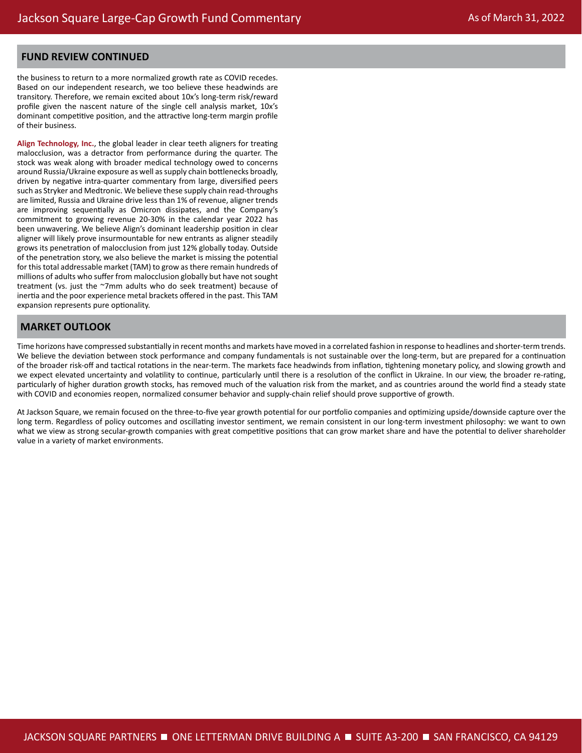## **FUND REVIEW CONTINUED**

the business to return to a more normalized growth rate as COVID recedes. Based on our independent research, we too believe these headwinds are transitory. Therefore, we remain excited about 10x's long-term risk/reward profile given the nascent nature of the single cell analysis market, 10x's dominant competitive position, and the attractive long-term margin profile of their business.

**Align Technology, Inc.**, the global leader in clear teeth aligners for treating malocclusion, was a detractor from performance during the quarter. The stock was weak along with broader medical technology owed to concerns around Russia/Ukraine exposure as well as supply chain bottlenecks broadly, driven by negative intra-quarter commentary from large, diversified peers such as Stryker and Medtronic. We believe these supply chain read-throughs are limited, Russia and Ukraine drive less than 1% of revenue, aligner trends are improving sequentially as Omicron dissipates, and the Company's commitment to growing revenue 20-30% in the calendar year 2022 has been unwavering. We believe Align's dominant leadership position in clear aligner will likely prove insurmountable for new entrants as aligner steadily grows its penetration of malocclusion from just 12% globally today. Outside of the penetration story, we also believe the market is missing the potential for this total addressable market (TAM) to grow as there remain hundreds of millions of adults who suffer from malocclusion globally but have not sought treatment (vs. just the ~7mm adults who do seek treatment) because of inertia and the poor experience metal brackets offered in the past. This TAM expansion represents pure optionality.

## **MARKET OUTLOOK**

Time horizons have compressed substantially in recent months and markets have moved in a correlated fashion in response to headlines and shorter-term trends. We believe the deviation between stock performance and company fundamentals is not sustainable over the long-term, but are prepared for a continuation of the broader risk-off and tactical rotations in the near-term. The markets face headwinds from inflation, tightening monetary policy, and slowing growth and we expect elevated uncertainty and volatility to continue, particularly until there is a resolution of the conflict in Ukraine. In our view, the broader re-rating, particularly of higher duration growth stocks, has removed much of the valuation risk from the market, and as countries around the world find a steady state with COVID and economies reopen, normalized consumer behavior and supply-chain relief should prove supportive of growth.

At Jackson Square, we remain focused on the three-to-five year growth potential for our portfolio companies and optimizing upside/downside capture over the long term. Regardless of policy outcomes and oscillating investor sentiment, we remain consistent in our long-term investment philosophy: we want to own what we view as strong secular-growth companies with great competitive positions that can grow market share and have the potential to deliver shareholder value in a variety of market environments.